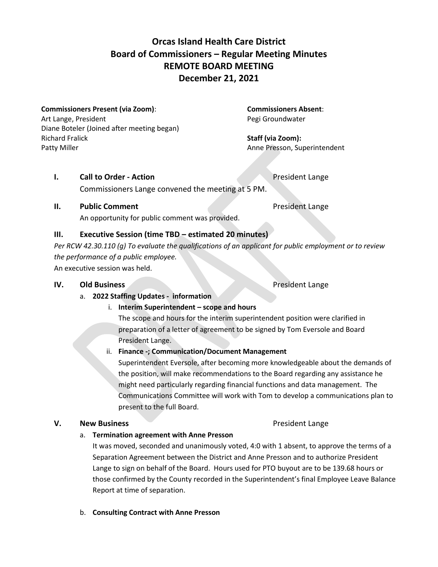# **Orcas Island Health Care District Board of Commissioners – Regular Meeting Minutes REMOTE BOARD MEETING December 21, 2021**

#### **Commissioners Present (via Zoom)**: **Commissioners Absent**:

Art Lange, President **Pegister and Art Lange, President** Pegi Groundwater Diane Boteler (Joined after meeting began) Richard Fralick **Staff (via Zoom):** Patty Miller **Anne Presson, Superintendent** 

### **I. Call to Order - Action President Lange**

Commissioners Lange convened the meeting at 5 PM.

# **II. Public Comment President Lange**

An opportunity for public comment was provided.

# **III. Executive Session (time TBD – estimated 20 minutes)**

*Per RCW 42.30.110 (g) To evaluate the qualifications of an applicant for public employment or to review the performance of a public employee.* 

An executive session was held.

### **IV. Old Business** President Lange

# a. **2022 Staffing Updates - information**

# i. **Interim Superintendent – scope and hours**

The scope and hours for the interim superintendent position were clarified in preparation of a letter of agreement to be signed by Tom Eversole and Board President Lange.

# ii. **Finance -; Communication/Document Management**

Superintendent Eversole, after becoming more knowledgeable about the demands of the position, will make recommendations to the Board regarding any assistance he might need particularly regarding financial functions and data management. The Communications Committee will work with Tom to develop a communications plan to present to the full Board.

# **V. New Business President Lange**

# a. **Termination agreement with Anne Presson**

It was moved, seconded and unanimously voted, 4:0 with 1 absent, to approve the terms of a Separation Agreement between the District and Anne Presson and to authorize President Lange to sign on behalf of the Board. Hours used for PTO buyout are to be 139.68 hours or those confirmed by the County recorded in the Superintendent's final Employee Leave Balance Report at time of separation.

b. **Consulting Contract with Anne Presson**